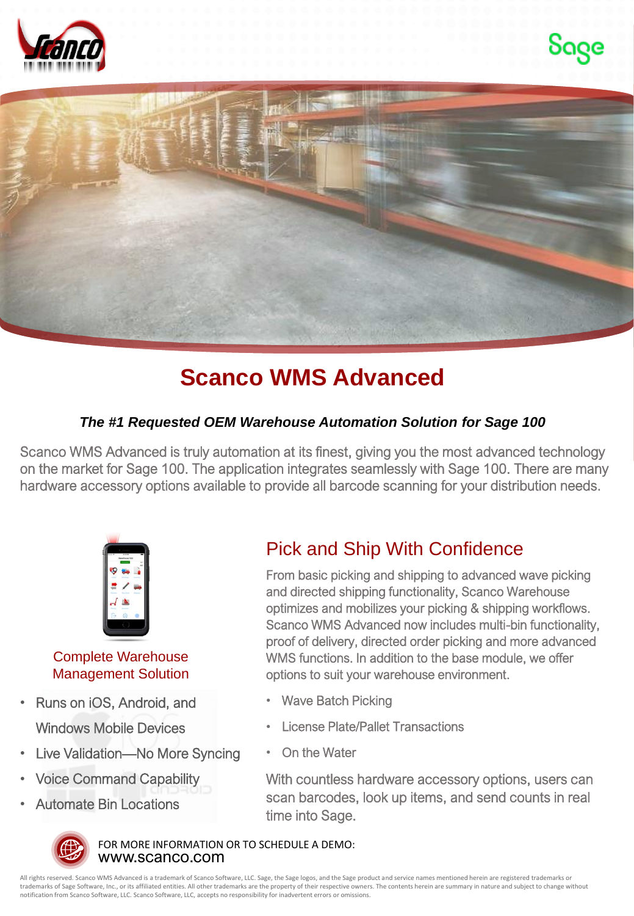





## **Scanco WMS Advanced**

## *The #1 Requested OEM Warehouse Automation Solution for Sage 100*

Scanco WMS Advanced is truly automation at its finest, giving you the most advanced technology on the market for Sage 100. The application integrates seamlessly with Sage 100. There are many hardware accessory options available to provide all barcode scanning for your distribution needs.



## Complete Warehouse Management Solution

- Runs on iOS, Android, and Windows Mobile Devices
- Live Validation—No More Syncing
- Voice Command Capability
- Automate Bin Locations

## Pick and Ship With Confidence

From basic picking and shipping to advanced wave picking and directed shipping functionality, Scanco Warehouse optimizes and mobilizes your picking & shipping workflows. Scanco WMS Advanced now includes multi-bin functionality, proof of delivery, directed order picking and more advanced WMS functions. In addition to the base module, we offer options to suit your warehouse environment.

- Wave Batch Picking
- License Plate/Pallet Transactions
- On the Water

With countless hardware accessory options, users can scan barcodes, look up items, and send counts in real time into Sage.



www.scanco.com FOR MORE INFORMATION OR TO SCHEDULE A DEMO:

All rights reserved. Scanco WMS Advanced is a trademark of Scanco Software, LLC. Sage, the Sage logos, and the Sage product and service names mentioned herein are registered trademarks or trademarks of Sage Software, Inc., or its affiliated entities. All other trademarks are the property of their respective owners. The contents herein are summary in nature and subject to change without notification from Scanco Software, LLC. Scanco Software, LLC, accepts no responsibility for inadvertent errors or omissions.